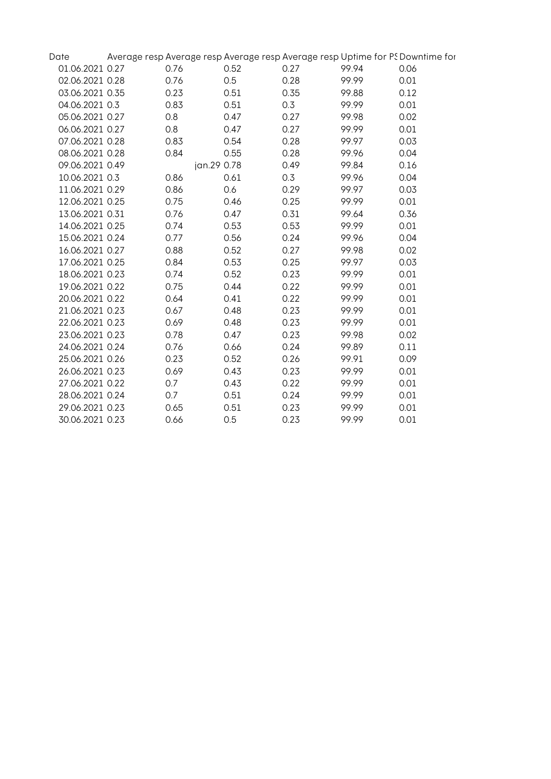| Date            |      | Average resp Average resp Average resp Average resp Uptime for PS Downtime for |      |       |      |
|-----------------|------|--------------------------------------------------------------------------------|------|-------|------|
| 01.06.2021 0.27 | 0.76 | 0.52                                                                           | 0.27 | 99.94 | 0.06 |
| 02.06.2021 0.28 | 0.76 | 0.5                                                                            | 0.28 | 99.99 | 0.01 |
| 03.06.2021 0.35 | 0.23 | 0.51                                                                           | 0.35 | 99.88 | 0.12 |
| 04.06.2021 0.3  | 0.83 | 0.51                                                                           | 0.3  | 99.99 | 0.01 |
| 05.06.2021 0.27 | 0.8  | 0.47                                                                           | 0.27 | 99.98 | 0.02 |
| 06.06.2021 0.27 | 0.8  | 0.47                                                                           | 0.27 | 99.99 | 0.01 |
| 07.06.2021 0.28 | 0.83 | 0.54                                                                           | 0.28 | 99.97 | 0.03 |
| 08.06.2021 0.28 | 0.84 | 0.55                                                                           | 0.28 | 99.96 | 0.04 |
| 09.06.2021 0.49 |      | jan.29 0.78                                                                    | 0.49 | 99.84 | 0.16 |
| 10.06.2021 0.3  | 0.86 | 0.61                                                                           | 0.3  | 99.96 | 0.04 |
| 11.06.2021 0.29 | 0.86 | 0.6                                                                            | 0.29 | 99.97 | 0.03 |
| 12.06.2021 0.25 | 0.75 | 0.46                                                                           | 0.25 | 99.99 | 0.01 |
| 13.06.2021 0.31 | 0.76 | 0.47                                                                           | 0.31 | 99.64 | 0.36 |
| 14.06.2021 0.25 | 0.74 | 0.53                                                                           | 0.53 | 99.99 | 0.01 |
| 15.06.2021 0.24 | 0.77 | 0.56                                                                           | 0.24 | 99.96 | 0.04 |
| 16.06.2021 0.27 | 0.88 | 0.52                                                                           | 0.27 | 99.98 | 0.02 |
| 17.06.2021 0.25 | 0.84 | 0.53                                                                           | 0.25 | 99.97 | 0.03 |
| 18.06.2021 0.23 | 0.74 | 0.52                                                                           | 0.23 | 99.99 | 0.01 |
| 19.06.2021 0.22 | 0.75 | 0.44                                                                           | 0.22 | 99.99 | 0.01 |
| 20.06.2021 0.22 | 0.64 | 0.41                                                                           | 0.22 | 99.99 | 0.01 |
| 21.06.2021 0.23 | 0.67 | 0.48                                                                           | 0.23 | 99.99 | 0.01 |
| 22.06.2021 0.23 | 0.69 | 0.48                                                                           | 0.23 | 99.99 | 0.01 |
| 23.06.2021 0.23 | 0.78 | 0.47                                                                           | 0.23 | 99.98 | 0.02 |
| 24.06.2021 0.24 | 0.76 | 0.66                                                                           | 0.24 | 99.89 | 0.11 |
| 25.06.2021 0.26 | 0.23 | 0.52                                                                           | 0.26 | 99.91 | 0.09 |
| 26.06.2021 0.23 | 0.69 | 0.43                                                                           | 0.23 | 99.99 | 0.01 |
| 27.06.2021 0.22 | 0.7  | 0.43                                                                           | 0.22 | 99.99 | 0.01 |
| 28.06.2021 0.24 | 0.7  | 0.51                                                                           | 0.24 | 99.99 | 0.01 |
| 29.06.2021 0.23 | 0.65 | 0.51                                                                           | 0.23 | 99.99 | 0.01 |
| 30.06.2021 0.23 | 0.66 | 0.5                                                                            | 0.23 | 99.99 | 0.01 |